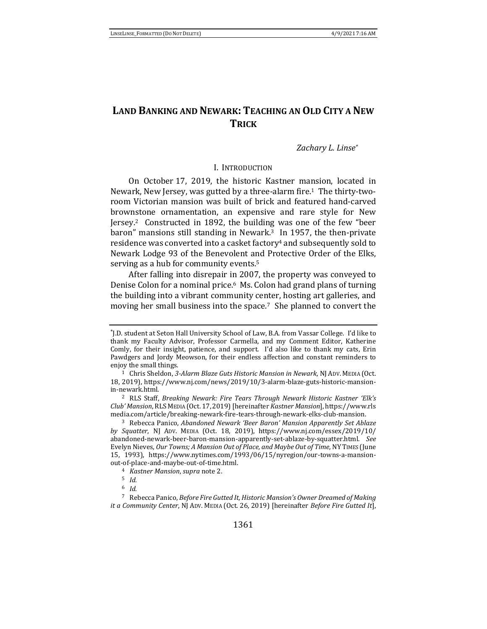# **LAND BANKING AND NEWARK: TEACHING AN OLD CITY A NEW TRICK**

## <span id="page-0-2"></span>*Zachary L. Linse\**

### <span id="page-0-1"></span>I. INTRODUCTION

<span id="page-0-0"></span>On October 17, 2019, the historic Kastner mansion, located in Newark, New Jersey, was gutted by a three-alarm fire.1 The thirty-tworoom Victorian mansion was built of brick and featured hand-carved brownstone ornamentation, an expensive and rare style for New Jersey.<sup>2</sup> Constructed in 1892, the building was one of the few "beer baron" mansions still standing in Newark. <sup>3</sup> In 1957, the then-private residence was converted into a casket factory<sup>4</sup> and subsequently sold to Newark Lodge 93 of the Benevolent and Protective Order of the Elks, serving as a hub for community events.<sup>5</sup>

After falling into disrepair in 2007, the property was conveyed to Denise Colon for a nominal price.6 Ms. Colon had grand plans of turning the building into a vibrant community center, hosting art galleries, and moving her small business into the space.7 She planned to convert the

<sup>\*</sup> J.D. student at Seton Hall University School of Law, B.A. from Vassar College. I'd like to thank my Faculty Advisor, Professor Carmella, and my Comment Editor, Katherine Comly, for their insight, patience, and support. I'd also like to thank my cats, Erin Pawdgers and Jordy Meowson, for their endless affection and constant reminders to enjoy the small things.

<sup>1</sup> Chris Sheldon, *3-Alarm Blaze Guts Historic Mansion in Newark*, NJ ADV. MEDIA (Oct. 18, 2019), https://www.nj.com/news/2019/10/3-alarm-blaze-guts-historic-mansionin-newark.html.

<sup>2</sup> RLS Staff, *Breaking Newark: Fire Tears Through Newark Historic Kastner 'Elk's Club' Mansion*, RLSMEDIA (Oct. 17,2019)[hereinafter *Kastner Mansion*], https://www.rls media.com/article/breaking-newark-fire-tears-through-newark-elks-club-mansion.

<sup>3</sup> Rebecca Panico, *Abandoned Newark 'Beer Baron' Mansion Apparently Set Ablaze by Squatter*, NJ ADV. MEDIA (Oct. 18, 2019), https://www.nj.com/essex/2019/10/ abandoned-newark-beer-baron-mansion-apparently-set-ablaze-by-squatter.html. *See*  Evelyn Nieves, *Our Towns; A Mansion Out of Place, and Maybe Out of Time,* NY TIMES (June 15, 1993), https://www.nytimes.com/1993/06/15/nyregion/our-towns-a-mansionout-of-place-and-maybe-out-of-time.html.

<sup>4</sup> *Kastner Mansion*, *supra* not[e 2.](#page-0-0) 

<sup>5</sup> *Id.*

<sup>6</sup> *Id.*

<sup>7</sup> Rebecca Panico, *Before Fire Gutted It, Historic Mansion's Owner Dreamed of Making it a Community Center*, NJ ADV. MEDIA (Oct. 26, 2019) [hereinafter *Before Fire Gutted It*],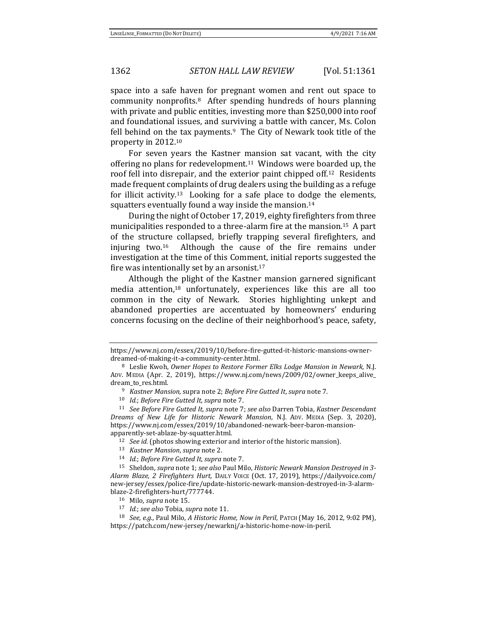space into a safe haven for pregnant women and rent out space to community nonprofits.8 After spending hundreds of hours planning with private and public entities, investing more than \$250,000 into roof and foundational issues, and surviving a battle with cancer, Ms. Colon fell behind on the tax payments. $9$  The City of Newark took title of the property in 2012.<sup>10</sup>

<span id="page-1-1"></span>For seven years the Kastner mansion sat vacant, with the city offering no plans for redevelopment.<sup>11</sup> Windows were boarded up, the roof fell into disrepair, and the exterior paint chipped off.12 Residents made frequent complaints of drug dealers using the building as a refuge for illicit activity.<sup>13</sup> Looking for a safe place to dodge the elements, squatters eventually found a way inside the mansion.<sup>14</sup>

<span id="page-1-0"></span>During the night of October 17, 2019, eighty firefighters from three municipalities responded to a three-alarm fire at the mansion.15 A part of the structure collapsed, briefly trapping several firefighters, and injuring two.16 Although the cause of the fire remains under investigation at the time of this Comment, initial reports suggested the fire was intentionally set by an arsonist.<sup>17</sup>

Although the plight of the Kastner mansion garnered significant media attention,<sup>18</sup> unfortunately, experiences like this are all too common in the city of Newark. Stories highlighting unkept and abandoned properties are accentuated by homeowners' enduring concerns focusing on the decline of their neighborhood's peace, safety,

<sup>10</sup> *Id.*; *Before Fire Gutted It, supra* not[e 7.](#page-0-1)

https://www.nj.com/essex/2019/10/before-fire-gutted-it-historic-mansions-ownerdreamed-of-making-it-a-community-center.html.

<sup>8</sup> Leslie Kwoh, *Owner Hopes to Restore Former Elks Lodge Mansion in Newark,* N.J. ADV. MEDIA (Apr. 2, 2019), https://www.nj.com/news/2009/02/owner\_keeps\_alive\_ dream\_to\_res.html.

<sup>9</sup> *Kastner Mansion,* supra not[e 2;](#page-0-0) *Before Fire Gutted It*, *supra* not[e 7.](#page-0-1)

<sup>11</sup> *See Before Fire Gutted It, supra* note [7;](#page-0-1) *see also* Darren Tobia, *Kastner Descendant Dreams of New Life for Historic Newark Mansion*, N.J. ADV. MEDIA (Sep. 3, 2020), https://www.nj.com/essex/2019/10/abandoned-newark-beer-baron-mansionapparently-set-ablaze-by-squatter.html.

<sup>12</sup> *See id.* (photos showing exterior and interior of the historic mansion).

<sup>13</sup> *Kastner Mansion*, *supra* not[e 2.](#page-0-0)

<sup>14</sup> *Id.*; *Before Fire Gutted It*, *supra* not[e 7.](#page-0-1)

<sup>15</sup> Sheldon, *supra* not[e 1;](#page-0-2) *see also* Paul Milo, *Historic Newark Mansion Destroyed in 3- Alarm Blaze, 2 Firefighters Hurt,* DAILY VOICE (Oct. 17, 2019), https://dailyvoice.com/ new-jersey/essex/police-fire/update-historic-newark-mansion-destroyed-in-3-alarmblaze-2-firefighters-hurt/777744.

<sup>16</sup> Milo, *supra* not[e 15.](#page-1-0)

<sup>17</sup> *Id.*; *see also* Tobia, *supra* note [11.](#page-1-1)

<sup>18</sup> *See, e.g.*, Paul Milo, *A Historic Home, Now in Peril*, PATCH (May 16, 2012, 9:02 PM), https://patch.com/new-jersey/newarknj/a-historic-home-now-in-peril.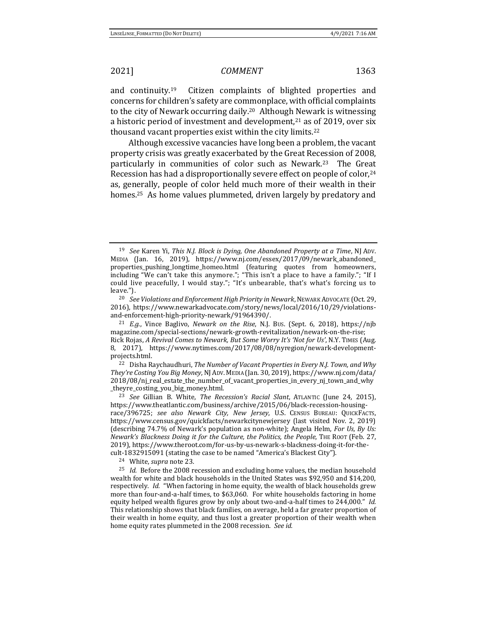<span id="page-2-1"></span>and continuity.19 Citizen complaints of blighted properties and concerns for children's safety are commonplace, with official complaints to the city of Newark occurring daily.20 Although Newark is witnessing a historic period of investment and development, $21$  as of 2019, over six thousand vacant properties exist within the city limits.<sup>22</sup>

Although excessive vacancies have long been a problem, the vacant property crisis was greatly exacerbated by the Great Recession of 2008, particularly in communities of color such as Newark.23 The Great Recession has had a disproportionally severe effect on people of color,<sup>24</sup> as, generally, people of color held much more of their wealth in their homes.<sup>25</sup> As home values plummeted, driven largely by predatory and

<sup>22</sup> Disha Raychaudhuri, *The Number of Vacant Properties in Every N.J. Town, and Why They're Costing You Big Money*, NJADV. MEDIA (Jan. 30, 2019), https://www.nj.com/data/ 2018/08/nj\_real\_estate\_the\_number\_of\_vacant\_properties\_in\_every\_nj\_town\_and\_why \_theyre\_costing\_you\_big\_money.html.

<sup>23</sup> *See* Gillian B. White, *The Recession's Racial Slant*, ATLANTIC (June 24, 2015), https://www.theatlantic.com/business/archive/2015/06/black-recession-housingrace/396725; *see also Newark City, New Jersey*, U.S. CENSUS BUREAU: QUICKFACTS, https://www.census.gov/quickfacts/newarkcitynewjersey (last visited Nov. 2, 2019) (describing 74.7% of Newark's population as non-white); Angela Helm, *For Us, By Us: Newark's Blackness Doing it for the Culture, the Politics, the People*, THE ROOT (Feb. 27, 2019), https://www.theroot.com/for-us-by-us-newark-s-blackness-doing-it-for-thecult-1832915091 (stating the case to be named "America's Blackest City").

<sup>24</sup> White, *supra* not[e 23.](#page-2-0)

<sup>25</sup> *Id.* Before the 2008 recession and excluding home values, the median household wealth for white and black households in the United States was \$92,950 and \$14,200, respectively. *Id.* "When factoring in home equity, the wealth of black households grew more than four-and-a-half times, to \$63,060. For white households factoring in home equity helped wealth figures grow by only about two-and-a-half times to 244,000." *Id.* This relationship shows that black families, on average, held a far greater proportion of their wealth in home equity, and thus lost a greater proportion of their wealth when home equity rates plummeted in the 2008 recession. *See id.* 

<span id="page-2-2"></span><span id="page-2-0"></span>

<sup>19</sup> *See* Karen Yi, *This N.J. Block is Dying, One Abandoned Property at a Time*, NJ ADV. MEDIA (Jan. 16, 2019), https://www.nj.com/essex/2017/09/newark\_abandoned\_ properties\_pushing\_longtime\_homeo.html (featuring quotes from homeowners, including "We can't take this anymore."; "This isn't a place to have a family."; "If I could live peacefully, I would stay."; "It's unbearable, that's what's forcing us to leave.").

<sup>20</sup> *See Violations and Enforcement High Priority in Newark*, NEWARK ADVOCATE (Oct. 29, 2016), https://www.newarkadvocate.com/story/news/local/2016/10/29/violationsand-enforcement-high-priority-newark/91964390/.

<sup>21</sup> *E.g.*, Vince Baglivo, *Newark on the Rise*, N.J. BUS. (Sept. 6, 2018), https://njb magazine.com/special-sections/newark-growth-revitalization/newark-on-the-rise; Rick Rojas, *A Revival Comes to Newark, But Some Worry It's 'Not for Us'*, N.Y. TIMES (Aug. 8, 2017), https://www.nytimes.com/2017/08/08/nyregion/newark-developmentprojects.html.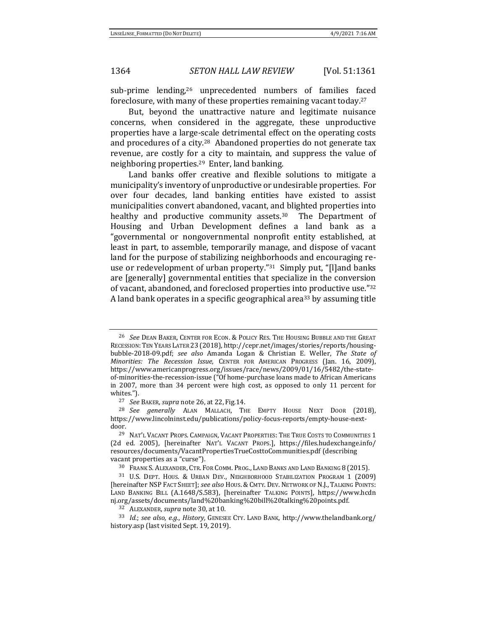<span id="page-3-0"></span>sub-prime lending,<sup>26</sup> unprecedented numbers of families faced foreclosure, with many of these properties remaining vacant today.<sup>27</sup>

But, beyond the unattractive nature and legitimate nuisance concerns, when considered in the aggregate, these unproductive properties have a large-scale detrimental effect on the operating costs and procedures of a city.28 Abandoned properties do not generate tax revenue, are costly for a city to maintain, and suppress the value of neighboring properties.29 Enter, land banking.

<span id="page-3-3"></span><span id="page-3-1"></span>Land banks offer creative and flexible solutions to mitigate a municipality's inventory of unproductive or undesirable properties. For over four decades, land banking entities have existed to assist municipalities convert abandoned, vacant, and blighted properties into healthy and productive community assets.<sup>30</sup> The Department of Housing and Urban Development defines a land bank as a "governmental or nongovernmental nonprofit entity established, at least in part, to assemble, temporarily manage, and dispose of vacant land for the purpose of stabilizing neighborhoods and encouraging reuse or redevelopment of urban property."31 Simply put, "[l]and banks are [generally] governmental entities that specialize in the conversion of vacant, abandoned, and foreclosed properties into productive use."<sup>32</sup> A land bank operates in a specific geographical area<sup>33</sup> by assuming title

<span id="page-3-2"></span><sup>26</sup> *See* DEAN BAKER, CENTER FOR ECON. & POLICY RES. THE HOUSING BUBBLE AND THE GREAT RECESSION:TEN YEARS LATER 23 (2018), http://cepr.net/images/stories/reports/housingbubble-2018-09.pdf; *see also* Amanda Logan & Christian E. Weller, *The State of Minorities: The Recession Issue,* CENTER FOR AMERICAN PROGRESS (Jan. 16, 2009), https://www.americanprogress.org/issues/race/news/2009/01/16/5482/the-stateof-minorities-the-recession-issue ("Of home-purchase loans made to African Americans in 2007, more than 34 percent were high cost, as opposed to only 11 percent for whites.").

<sup>27</sup> *See* BAKER, *supra* not[e 26,](#page-3-0) at 22, Fig.14.

<sup>28</sup> *See generally* ALAN MALLACH, THE EMPTY HOUSE NEXT DOOR (2018), https://www.lincolninst.edu/publications/policy-focus-reports/empty-house-nextdoor.

<sup>29</sup> NAT'L VACANT PROPS. CAMPAIGN, VACANT PROPERTIES: THE TRUE COSTS TO COMMUNITIES 1 (2d ed. 2005), [hereinafter NAT'L VACANT PROPS.], https://files.hudexchange.info/ resources/documents/VacantPropertiesTrueCosttoCommunities.pdf (describing vacant properties as a "curse").

<sup>30</sup> FRANK S. ALEXANDER, CTR. FOR COMM. PROG., LAND BANKS AND LAND BANKING 8 (2015).

<sup>31</sup> U.S. DEPT. HOUS. & URBAN DEV., NEIGHBORHOOD STABILIZATION PROGRAM 1 (2009) [hereinafter NSP FACT SHEET]; *see also* HOUS. & CMTY. DEV. NETWORK OF N.J., TALKING POINTS: LAND BANKING BILL (A.1648/S.583), [hereinafter TALKING POINTS], https://www.hcdn nj.org/assets/documents/land%20banking%20bill%20talking%20points.pdf.

<sup>32</sup> ALEXANDER, *supra* not[e 30,](#page-3-1) at 10.

<sup>33</sup> *Id.*; *see also, e.g.*, *History,* GENESEE CTY. LAND BANK, http://www.thelandbank.org/ history.asp (last visited Sept. 19, 2019).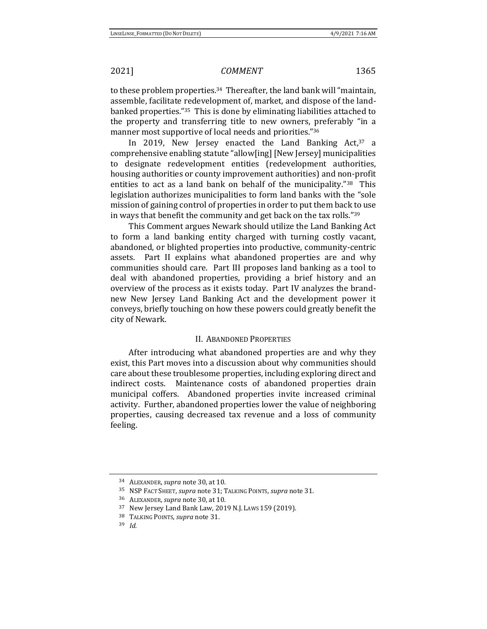to these problem properties.<sup>34</sup> Thereafter, the land bank will "maintain, assemble, facilitate redevelopment of, market, and dispose of the landbanked properties."35 This is done by eliminating liabilities attached to the property and transferring title to new owners, preferably "in a manner most supportive of local needs and priorities."<sup>36</sup>

In 2019, New Jersey enacted the Land Banking Act,<sup>37</sup> a comprehensive enabling statute "allow[ing] [New Jersey] municipalities to designate redevelopment entities (redevelopment authorities, housing authorities or county improvement authorities) and non-profit entities to act as a land bank on behalf of the municipality."38 This legislation authorizes municipalities to form land banks with the "sole mission of gaining control of properties in order to put them back to use in ways that benefit the community and get back on the tax rolls."<sup>39</sup>

This Comment argues Newark should utilize the Land Banking Act to form a land banking entity charged with turning costly vacant, abandoned, or blighted properties into productive, community-centric assets. Part II explains what abandoned properties are and why communities should care. Part III proposes land banking as a tool to deal with abandoned properties, providing a brief history and an overview of the process as it exists today. Part IV analyzes the brandnew New Jersey Land Banking Act and the development power it conveys, briefly touching on how these powers could greatly benefit the city of Newark.

### II. ABANDONED PROPERTIES

After introducing what abandoned properties are and why they exist, this Part moves into a discussion about why communities should care about these troublesome properties, including exploring direct and indirect costs. Maintenance costs of abandoned properties drain municipal coffers. Abandoned properties invite increased criminal activity. Further, abandoned properties lower the value of neighboring properties, causing decreased tax revenue and a loss of community feeling.

<sup>34</sup> ALEXANDER, *supra* not[e 30,](#page-3-1) at 10.

<sup>35</sup> NSP FACT SHEET, *supra* not[e 31;](#page-3-2) TALKING POINTS, *supra* not[e 31.](#page-3-2)

<sup>36</sup> ALEXANDER, *supra* not[e 30,](#page-3-1) at 10.

<sup>37</sup> New Jersey Land Bank Law, 2019 N.J. LAWS 159 (2019).

<sup>38</sup> TALKING POINTS, *supra* not[e 31.](#page-3-2)

<sup>39</sup> *Id.*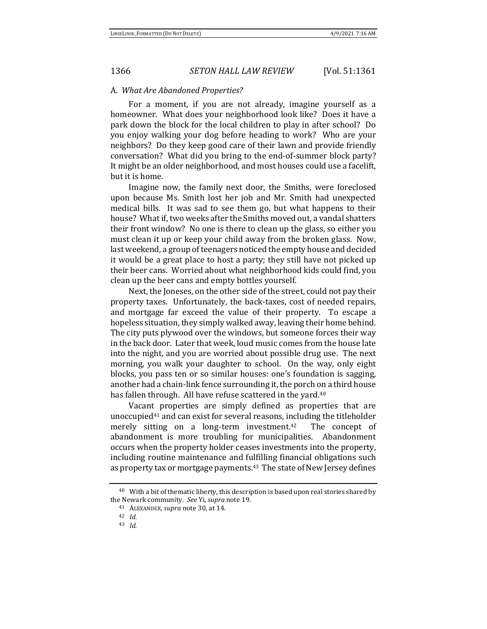### A. *What Are Abandoned Properties?*

For a moment, if you are not already, imagine yourself as a homeowner. What does your neighborhood look like? Does it have a park down the block for the local children to play in after school? Do you enjoy walking your dog before heading to work? Who are your neighbors? Do they keep good care of their lawn and provide friendly conversation? What did you bring to the end-of-summer block party? It might be an older neighborhood, and most houses could use a facelift, but it is home.

Imagine now, the family next door, the Smiths, were foreclosed upon because Ms. Smith lost her job and Mr. Smith had unexpected medical bills. It was sad to see them go, but what happens to their house? What if, two weeks after the Smiths moved out, a vandal shatters their front window? No one is there to clean up the glass, so either you must clean it up or keep your child away from the broken glass. Now, last weekend, a group of teenagers noticed the empty house and decided it would be a great place to host a party; they still have not picked up their beer cans. Worried about what neighborhood kids could find, you clean up the beer cans and empty bottles yourself.

Next, the Joneses, on the other side of the street, could not pay their property taxes. Unfortunately, the back-taxes, cost of needed repairs, and mortgage far exceed the value of their property. To escape a hopeless situation, they simply walked away, leaving their home behind. The city puts plywood over the windows, but someone forces their way in the back door. Later that week, loud music comes from the house late into the night, and you are worried about possible drug use. The next morning, you walk your daughter to school. On the way, only eight blocks, you pass ten or so similar houses: one's foundation is sagging, another had a chain-link fence surrounding it, the porch on a third house has fallen through. All have refuse scattered in the yard.<sup>40</sup>

Vacant properties are simply defined as properties that are unoccupied<sup>41</sup> and can exist for several reasons, including the titleholder merely sitting on a long-term investment.<sup>42</sup> The concept of abandonment is more troubling for municipalities. Abandonment occurs when the property holder ceases investments into the property, including routine maintenance and fulfilling financial obligations such as property tax or mortgage payments.<sup>43</sup> The state of New Jersey defines

<sup>&</sup>lt;sup>40</sup> With a bit of thematic liberty, this description is based upon real stories shared by the Newark community. *See* Yi, *supra* note [19.](#page-2-1)

<sup>41</sup> ALEXANDER, *supra* not[e 30,](#page-3-1) at 14.

<sup>42</sup> *Id.*

<sup>43</sup> *Id.*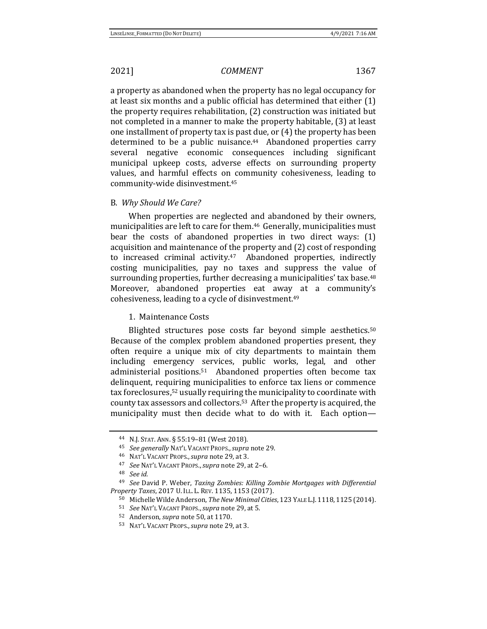a property as abandoned when the property has no legal occupancy for at least six months and a public official has determined that either (1) the property requires rehabilitation, (2) construction was initiated but not completed in a manner to make the property habitable, (3) at least one installment of property tax is past due, or (4) the property has been determined to be a public nuisance.<sup>44</sup> Abandoned properties carry several negative economic consequences including significant municipal upkeep costs, adverse effects on surrounding property values, and harmful effects on community cohesiveness, leading to community-wide disinvestment.<sup>45</sup>

### B. *Why Should We Care?*

When properties are neglected and abandoned by their owners, municipalities are left to care for them.<sup>46</sup> Generally, municipalities must bear the costs of abandoned properties in two direct ways: (1) acquisition and maintenance of the property and (2) cost of responding to increased criminal activity.47 Abandoned properties, indirectly costing municipalities, pay no taxes and suppress the value of surrounding properties, further decreasing a municipalities' tax base.<sup>48</sup> Moreover, abandoned properties eat away at a community's cohesiveness, leading to a cycle of disinvestment.<sup>49</sup>

### <span id="page-6-1"></span><span id="page-6-0"></span>1.Maintenance Costs

Blighted structures pose costs far beyond simple aesthetics.<sup>50</sup> Because of the complex problem abandoned properties present, they often require a unique mix of city departments to maintain them including emergency services, public works, legal, and other administerial positions.51 Abandoned properties often become tax delinquent, requiring municipalities to enforce tax liens or commence tax foreclosures,<sup>52</sup> usually requiring the municipality to coordinate with county tax assessors and collectors.53 After the property is acquired, the municipality must then decide what to do with it. Each option—

<sup>44</sup> N.J. STAT. ANN. § 55:19–81 (West 2018).

<sup>45</sup> *See generally* NAT'L VACANT PROPS.,*supra* not[e 29.](#page-3-3)

<sup>46</sup> NAT'L VACANT PROPS.,*supra* note [29,](#page-3-3) at 3.

<sup>47</sup> *See* NAT'L VACANT PROPS.,*supra* not[e 29,](#page-3-3) at 2–6.

<sup>48</sup> *See id.*

<sup>49</sup> *See* David P. Weber, *Taxing Zombies: Killing Zombie Mortgages with Differential Property Taxes*, 2017 U. ILL. L. REV. 1135, 1153 (2017).

<sup>50</sup> Michelle Wilde Anderson, *The New Minimal Cities*, 123 YALE L.J.1118, 1125 (2014).

<sup>51</sup> *See* NAT'L VACANT PROPS.,*supra* not[e 29,](#page-3-3) at 5.

<sup>52</sup> Anderson, *supra* note [50,](#page-6-0) at 1170.

<sup>53</sup> NAT'L VACANT PROPS.,*supra* note [29,](#page-3-3) at 3.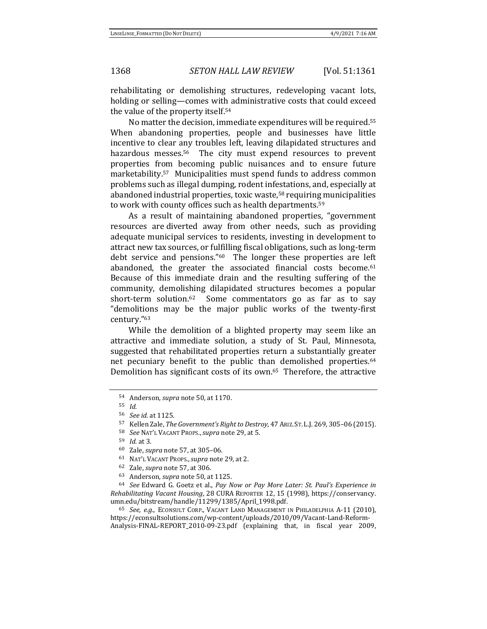rehabilitating or demolishing structures, redeveloping vacant lots, holding or selling—comes with administrative costs that could exceed the value of the property itself.<sup>54</sup>

No matter the decision, immediate expenditures will be required.<sup>55</sup> When abandoning properties, people and businesses have little incentive to clear any troubles left, leaving dilapidated structures and hazardous messes.<sup>56</sup> The city must expend resources to prevent properties from becoming public nuisances and to ensure future marketability.<sup>57</sup> Municipalities must spend funds to address common problems such as illegal dumping, rodent infestations, and, especially at abandoned industrial properties, toxic waste,<sup>58</sup> requiring municipalities to work with county offices such as health departments.<sup>59</sup>

<span id="page-7-0"></span>As a result of maintaining abandoned properties, "government resources are diverted away from other needs, such as providing adequate municipal services to residents, investing in development to attract new tax sources, or fulfilling fiscal obligations, such as long-term debt service and pensions."60 The longer these properties are left abandoned, the greater the associated financial costs become. $61$ Because of this immediate drain and the resulting suffering of the community, demolishing dilapidated structures becomes a popular short-term solution.<sup>62</sup> Some commentators go as far as to say "demolitions may be the major public works of the twenty-first century."<sup>63</sup>

While the demolition of a blighted property may seem like an attractive and immediate solution, a study of St. Paul, Minnesota, suggested that rehabilitated properties return a substantially greater net pecuniary benefit to the public than demolished properties.<sup>64</sup> Demolition has significant costs of its own.65 Therefore, the attractive

<sup>65</sup> *See, e.g.*, ECONSULT CORP., VACANT LAND MANAGEMENT IN PHILADELPHIA A-11 (2010), https://econsultsolutions.com/wp-content/uploads/2010/09/Vacant-Land-Reform-Analysis-FINAL-REPORT\_2010-09-23.pdf (explaining that, in fiscal year 2009,

<span id="page-7-1"></span><sup>54</sup> Anderson, *supra* note [50,](#page-6-0) at 1170.

<sup>55</sup> *Id.*

<sup>56</sup> *See id.* at 1125.

<sup>57</sup> Kellen Zale, *The Government's Right to Destroy*, 47 ARIZ. ST.L.J. 269, 305–06 (2015).

<sup>58</sup> *See* NAT'L VACANT PROPS.,*supra* not[e 29,](#page-3-3) at 5.

<sup>59</sup> *Id.* at 3.

<sup>60</sup> Zale, *supra* not[e 57,](#page-7-0) at 305–06.

<sup>61</sup> NAT'L VACANT PROPS.,*supra* note [29,](#page-3-3) at 2.

<sup>62</sup> Zale, *supra* not[e 57,](#page-7-0) at 306.

<sup>63</sup> Anderson, *supra* note [50,](#page-6-0) at 1125.

<sup>64</sup> *See* Edward G. Goetz et al., *Pay Now or Pay More Later: St. Paul's Experience in Rehabilitating Vacant Housing*, 28 CURA REPORTER 12, 15 (1998), https://conservancy. umn.edu/bitstream/handle/11299/1385/April\_1998.pdf.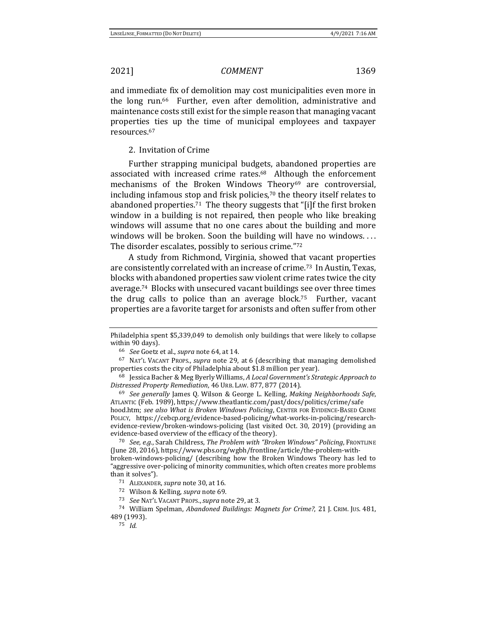and immediate fix of demolition may cost municipalities even more in the long run.66 Further, even after demolition, administrative and maintenance costs still exist for the simple reason that managing vacant properties ties up the time of municipal employees and taxpayer resources.<sup>67</sup>

## <span id="page-8-1"></span><span id="page-8-0"></span>2. Invitation of Crime

Further strapping municipal budgets, abandoned properties are associated with increased crime rates.68 Although the enforcement mechanisms of the Broken Windows Theory<sup>69</sup> are controversial, including infamous stop and frisk policies,<sup>70</sup> the theory itself relates to abandoned properties. <sup>71</sup> The theory suggests that "[i]f the first broken window in a building is not repaired, then people who like breaking windows will assume that no one cares about the building and more windows will be broken. Soon the building will have no windows.... The disorder escalates, possibly to serious crime."<sup>72</sup>

A study from Richmond, Virginia, showed that vacant properties are consistently correlated with an increase of crime.<sup>73</sup>In Austin, Texas, blocks with abandoned properties saw violent crime rates twice the city average.<sup>74</sup> Blocks with unsecured vacant buildings see over three times the drug calls to police than an average block.<sup>75</sup> Further, vacant properties are a favorite target for arsonists and often suffer from other

<sup>70</sup> *See, e.g.*, Sarah Childress, *The Problem with "Broken Windows" Policing*, FRONTLINE (June 28, 2016), https://www.pbs.org/wgbh/frontline/article/the-problem-withbroken-windows-policing/ (describing how the Broken Windows Theory has led to "aggressive over-policing of minority communities, which often creates more problems than it solves").

Philadelphia spent \$5,339,049 to demolish only buildings that were likely to collapse within 90 days).

<sup>66</sup> *See* Goetz et al., *supra* note [64,](#page-7-1) at 14.

<sup>67</sup> NAT'L VACANT PROPS., *supra* note [29,](#page-3-3) at 6 (describing that managing demolished properties costs the city of Philadelphia about \$1.8 million per year).

<sup>68</sup> Jessica Bacher & Meg Byerly Williams, *A Local Government's Strategic Approach to Distressed Property Remediation*, 46 URB. LAW. 877, 877 (2014).

<sup>69</sup> *See generally* James Q. Wilson & George L. Kelling, *Making Neighborhoods Safe*, ATLANTIC (Feb. 1989), https://www.theatlantic.com/past/docs/politics/crime/safe hood.htm; *see also What is Broken Windows Policing*, CENTER FOR EVIDENCE-BASED CRIME POLICY, https://cebcp.org/evidence-based-policing/what-works-in-policing/researchevidence-review/broken-windows-policing (last visited Oct. 30, 2019) (providing an evidence-based overview of the efficacy of the theory).

<sup>71</sup> ALEXANDER, *supra* not[e 30,](#page-3-1) at 16.

<sup>72</sup> Wilson & Kelling, *supra* not[e 69.](#page-8-0)

<sup>73</sup> *See* NAT'L VACANT PROPS.,*supra* not[e 29,](#page-3-3) at 3.

<sup>74</sup> William Spelman, *Abandoned Buildings: Magnets for Crime?*, 21 J. CRIM. JUS. 481, 489 (1993).

<sup>75</sup> *Id.*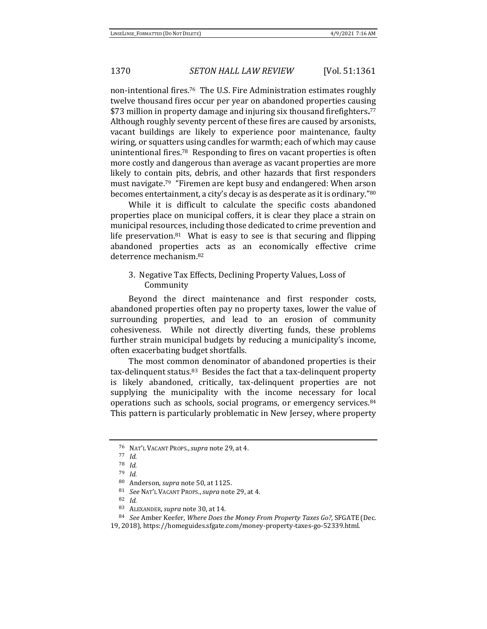non-intentional fires.<sup>76</sup> The U.S. Fire Administration estimates roughly twelve thousand fires occur per year on abandoned properties causing \$73 million in property damage and injuring six thousand firefighters**.** 77 Although roughly seventy percent of these fires are caused by arsonists, vacant buildings are likely to experience poor maintenance, faulty wiring, or squatters using candles for warmth; each of which may cause unintentional fires.<sup>78</sup> Responding to fires on vacant properties is often more costly and dangerous than average as vacant properties are more likely to contain pits, debris, and other hazards that first responders must navigate.<sup>79</sup>"Firemen are kept busy and endangered: When arson becomes entertainment, a city's decay is as desperate as it is ordinary."<sup>80</sup>

While it is difficult to calculate the specific costs abandoned properties place on municipal coffers, it is clear they place a strain on municipal resources, including those dedicated to crime prevention and life preservation. $81$  What is easy to see is that securing and flipping abandoned properties acts as an economically effective crime deterrence mechanism.<sup>82</sup>

3. Negative Tax Effects, Declining Property Values, Loss of Community

Beyond the direct maintenance and first responder costs, abandoned properties often pay no property taxes, lower the value of surrounding properties, and lead to an erosion of community cohesiveness. While not directly diverting funds, these problems further strain municipal budgets by reducing a municipality's income, often exacerbating budget shortfalls.

The most common denominator of abandoned properties is their tax-delinquent status.83 Besides the fact that a tax-delinquent property is likely abandoned, critically, tax-delinquent properties are not supplying the municipality with the income necessary for local operations such as schools, social programs, or emergency services.<sup>84</sup> This pattern is particularly problematic in New Jersey, where property

<sup>76</sup> NAT'L VACANT PROPS.,*supra* note [29,](#page-3-3) at 4.

<sup>77</sup> *Id.*

<sup>78</sup> *Id.*

<sup>79</sup> *Id*.

<sup>80</sup> Anderson, *supra* note [50,](#page-6-0) at 1125.

<sup>81</sup> *See* NAT'L VACANT PROPS.,*supra* not[e 29,](#page-3-3) at 4.

<sup>82</sup> *Id.*

<sup>83</sup> ALEXANDER, *supra* not[e 30,](#page-3-1) at 14.

<sup>84</sup> *See* Amber Keefer, *Where Does the Money From Property Taxes Go?*, SFGATE (Dec.

<sup>19, 2018),</sup> https://homeguides.sfgate.com/money-property-taxes-go-52339.html.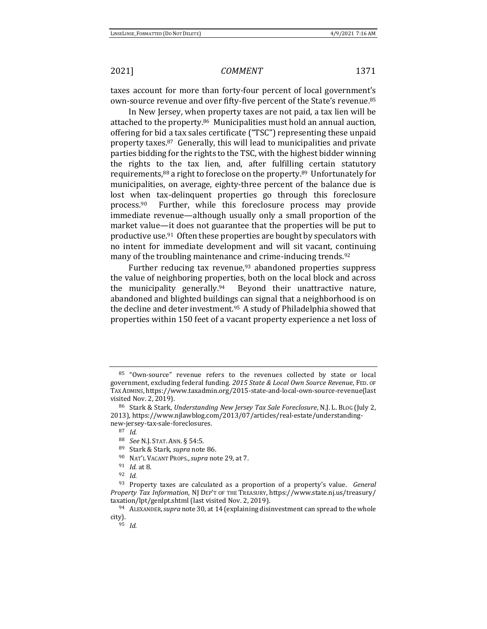taxes account for more than forty-four percent of local government's own-source revenue and over fifty-five percent of the State's revenue.<sup>85</sup>

<span id="page-10-0"></span>In New Jersey, when property taxes are not paid, a tax lien will be attached to the property.86 Municipalities must hold an annual auction, offering for bid a tax sales certificate ("TSC") representing these unpaid property taxes.87 Generally, this will lead to municipalities and private parties bidding for the rights to the TSC, with the highest bidder winning the rights to the tax lien, and, after fulfilling certain statutory requirements,<sup>88</sup> a right to foreclose on the property. <sup>89</sup> Unfortunately for municipalities, on average, eighty-three percent of the balance due is lost when tax-delinquent properties go through this foreclosure process.90 Further, while this foreclosure process may provide immediate revenue—although usually only a small proportion of the market value—it does not guarantee that the properties will be put to productive use.91 Often these properties are bought by speculators with no intent for immediate development and will sit vacant, continuing many of the troubling maintenance and crime-inducing trends.<sup>92</sup>

Further reducing tax revenue,<sup>93</sup> abandoned properties suppress the value of neighboring properties, both on the local block and across the municipality generally.94 Beyond their unattractive nature, abandoned and blighted buildings can signal that a neighborhood is on the decline and deter investment.95 A study of Philadelphia showed that properties within 150 feet of a vacant property experience a net loss of

<sup>85</sup> "Own-source" revenue refers to the revenues collected by state or local government, excluding federal funding. *2015 State & Local Own Source Revenue*, FED. OF TAX ADMINS, https://www.taxadmin.org/2015-state-and-local-own-source-revenue(last visited Nov. 2, 2019).

<sup>86</sup> Stark & Stark, *Understanding New Jersey Tax Sale Foreclosure*, N.J. L. BLOG (July 2, 2013), https://www.njlawblog.com/2013/07/articles/real-estate/understandingnew-jersey-tax-sale-foreclosures.

<sup>87</sup> *Id.* 

<sup>88</sup> *See* N.J. STAT. ANN. § 54:5.

<sup>89</sup> Stark & Stark, *supra* not[e 86.](#page-10-0)

<sup>90</sup> NAT'L VACANT PROPS.,*supra* note [29,](#page-3-3) at 7.

<sup>91</sup> *Id.* at 8.

<sup>92</sup> *Id.*

<sup>93</sup> Property taxes are calculated as a proportion of a property's value. *General Property Tax Information*, NJ DEP'T OF THE TREASURY, https://www.state.nj.us/treasury/ taxation/lpt/genlpt.shtml (last visited Nov. 2, 2019).

<sup>94</sup> ALEXANDER,*supra* not[e 30,](#page-3-1) at 14 (explaining disinvestment can spread to the whole city).

<sup>95</sup> *Id.*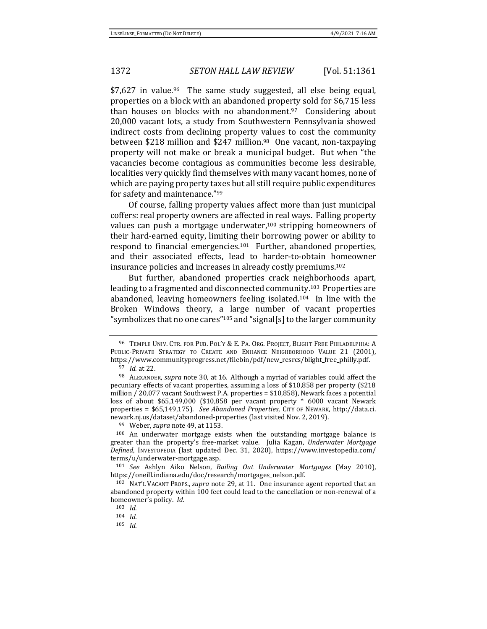\$7,627 in value.<sup>96</sup> The same study suggested, all else being equal, properties on a block with an abandoned property sold for \$6,715 less than houses on blocks with no abandonment.97 Considering about 20,000 vacant lots, a study from Southwestern Pennsylvania showed indirect costs from declining property values to cost the community between \$218 million and \$247 million.<sup>98</sup> One vacant, non-taxpaying property will not make or break a municipal budget. But when "the vacancies become contagious as communities become less desirable, localities very quickly find themselves with many vacant homes, none of which are paying property taxes but all still require public expenditures for safety and maintenance."<sup>99</sup>

Of course, falling property values affect more than just municipal coffers: real property owners are affected in real ways. Falling property values can push a mortgage underwater,<sup>100</sup> stripping homeowners of their hard-earned equity, limiting their borrowing power or ability to respond to financial emergencies.101 Further, abandoned properties, and their associated effects, lead to harder-to-obtain homeowner insurance policies and increases in already costly premiums.<sup>102</sup>

But further, abandoned properties crack neighborhoods apart, leading to a fragmented and disconnected community.<sup>103</sup> Properties are abandoned, leaving homeowners feeling isolated.104 In line with the Broken Windows theory, a large number of vacant properties "symbolizes that no one cares"<sup>105</sup> and "signal[s] to the larger community

<sup>96</sup> TEMPLE UNIV. CTR. FOR PUB. POL'Y & E. PA. ORG. PROJECT, BLIGHT FREE PHILADELPHIA: A PUBLIC-PRIVATE STRATEGY TO CREATE AND ENHANCE NEIGHBORHOOD VALUE 21 (2001), https://www.communityprogress.net/filebin/pdf/new\_resrcs/blight\_free\_philly.pdf.

<sup>97</sup> *Id.* at 22.

<sup>98</sup> ALEXANDER, *supra* not[e 30,](#page-3-1) at 16. Although a myriad of variables could affect the pecuniary effects of vacant properties, assuming a loss of \$10,858 per property (\$218 million / 20,077 vacant Southwest P.A. properties = \$10,858), Newark faces a potential loss of about \$65,149,000 (\$10,858 per vacant property \* 6000 vacant Newark properties = \$65,149,175). *See Abandoned Properties*, CITY OF NEWARK, http://data.ci. newark.nj.us/dataset/abandoned-properties (last visited Nov. 2, 2019).

<sup>99</sup> Weber, *supra* not[e 49,](#page-6-1) at 1153.

<sup>100</sup> An underwater mortgage exists when the outstanding mortgage balance is greater than the property's free-market value. Julia Kagan, *Underwater Mortgage Defined*, INVESTOPEDIA (last updated Dec. 31, 2020), https://www.investopedia.com/ terms/u/underwater-mortgage.asp.

<sup>101</sup> *See* Ashlyn Aiko Nelson, *Bailing Out Underwater Mortgages* (May 2010), https://oneill.indiana.edu/doc/research/mortgages\_nelson.pdf.

<sup>102</sup> NAT'L VACANT PROPS., *supra* note [29,](#page-3-3) at 11. One insurance agent reported that an abandoned property within 100 feet could lead to the cancellation or non-renewal of a homeowner's policy. *Id.* 

<sup>103</sup> *Id*.

<sup>104</sup> *Id.*

<sup>105</sup> *Id.*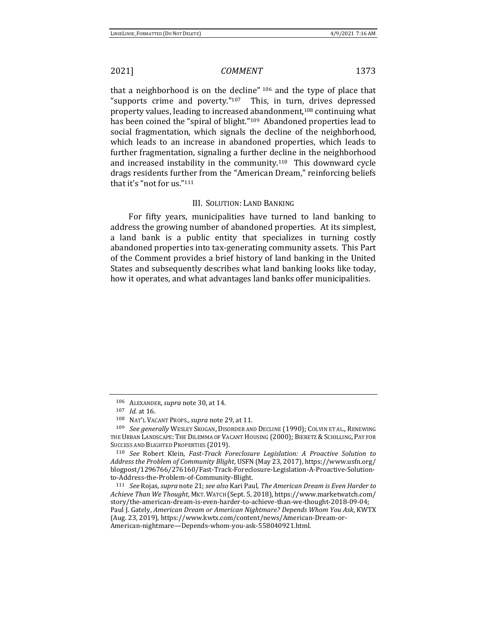that a neighborhood is on the decline" <sup>106</sup> and the type of place that "supports crime and poverty."107 This, in turn, drives depressed property values, leading to increased abandonment,<sup>108</sup> continuing what has been coined the "spiral of blight."<sup>109</sup> Abandoned properties lead to social fragmentation, which signals the decline of the neighborhood, which leads to an increase in abandoned properties, which leads to further fragmentation, signaling a further decline in the neighborhood and increased instability in the community.110 This downward cycle drags residents further from the "American Dream," reinforcing beliefs that it's "not for us."<sup>111</sup>

### <span id="page-12-0"></span>III. SOLUTION: LAND BANKING

For fifty years, municipalities have turned to land banking to address the growing number of abandoned properties. At its simplest, a land bank is a public entity that specializes in turning costly abandoned properties into tax-generating community assets. This Part of the Comment provides a brief history of land banking in the United States and subsequently describes what land banking looks like today, how it operates, and what advantages land banks offer municipalities.

<sup>106</sup> ALEXANDER, *supra* not[e 30,](#page-3-1) at 14.

<sup>107</sup> *Id.* at 16.

<sup>108</sup> NAT'L VACANT PROPS.,*supra* note [29,](#page-3-3) at 11.

<sup>109</sup> *See generally* WESLEY SKOGAN, DISORDER AND DECLINE (1990); COLVIN ET AL., RENEWING THE URBAN LANDSCAPE: THE DILEMMA OF VACANT HOUSING (2000); BIERETZ & SCHILLING, PAY FOR SUCCESS AND BLIGHTED PROPERTIES (2019).

<sup>110</sup> *See* Robert Klein, *Fast-Track Foreclosure Legislation: A Proactive Solution to Address the Problem of Community Blight*, USFN(May 23, 2017), https://www.usfn.org/ blogpost/1296766/276160/Fast-Track-Foreclosure-Legislation-A-Proactive-Solutionto-Address-the-Problem-of-Community-Blight.

<sup>111</sup> *See* Rojas, *supra* not[e 21;](#page-2-2) *see also* Kari Paul, *The American Dream is Even Harder to Achieve Than We Thought*, MKT.WATCH (Sept. 5, 2018), https://www.marketwatch.com/ story/the-american-dream-is-even-harder-to-achieve-than-we-thought-2018-09-04; Paul J. Gately, *American Dream or American Nightmare? Depends Whom You Ask*, KWTX (Aug. 23, 2019), https://www.kwtx.com/content/news/American-Dream-or-American-nightmare—Depends-whom-you-ask-558040921.html.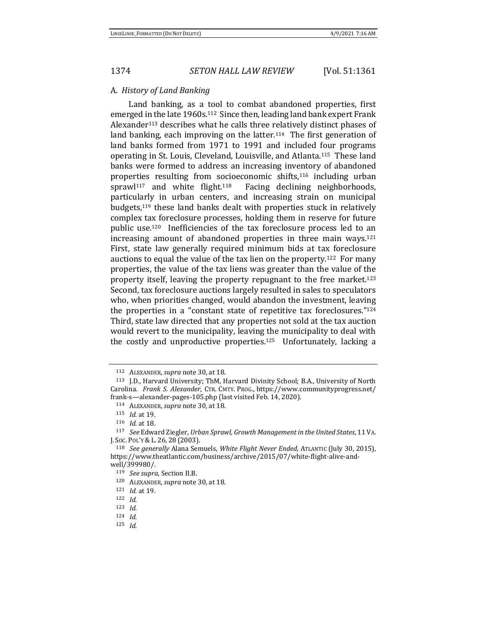### A. *History of Land Banking*

Land banking, as a tool to combat abandoned properties, first emerged in the late 1960s.112 Since then, leading land bank expert Frank Alexander<sup>113</sup> describes what he calls three relatively distinct phases of land banking, each improving on the latter.<sup>114</sup> The first generation of land banks formed from 1971 to 1991 and included four programs operating in St. Louis, Cleveland, Louisville, and Atlanta.115 These land banks were formed to address an increasing inventory of abandoned properties resulting from socioeconomic shifts,<sup>116</sup> including urban sprawl<sup>117</sup> and white flight.<sup>118</sup> Facing declining neighborhoods, particularly in urban centers, and increasing strain on municipal budgets,<sup>119</sup> these land banks dealt with properties stuck in relatively complex tax foreclosure processes, holding them in reserve for future public use.120 Inefficiencies of the tax foreclosure process led to an increasing amount of abandoned properties in three main ways.<sup>121</sup> First, state law generally required minimum bids at tax foreclosure auctions to equal the value of the tax lien on the property.122 For many properties, the value of the tax liens was greater than the value of the property itself, leaving the property repugnant to the free market.<sup>123</sup> Second, tax foreclosure auctions largely resulted in sales to speculators who, when priorities changed, would abandon the investment, leaving the properties in a "constant state of repetitive tax foreclosures." <sup>124</sup> Third, state law directed that any properties not sold at the tax auction would revert to the municipality, leaving the municipality to deal with the costly and unproductive properties.125 Unfortunately, lacking a

<sup>112</sup> ALEXANDER, *supra* not[e 30,](#page-3-1) at 18.

<sup>113</sup> J.D., Harvard University; ThM, Harvard Divinity School; B.A., University of North Carolina. *Frank S. Alexander*, CTR. CMTY. PROG., https://www.communityprogress.net/ frank-s—alexander-pages-105.php (last visited Feb. 14, 2020).

<sup>114</sup> ALEXANDER, *supra* not[e 30,](#page-3-1) at 18.

<sup>115</sup> *Id.* at 19.

<sup>116</sup> *Id.* at 18.

<sup>117</sup> *See* Edward Ziegler, *Urban Sprawl, Growth Management in the United States*, 11 VA. J. SOC. POL'Y & L. 26, 28 (2003).

<sup>118</sup> *See generally* Alana Semuels, *White Flight Never Ended*, ATLANTIC (July 30, 2015), https://www.theatlantic.com/business/archive/2015/07/white-flight-alive-andwell/399980/.

<sup>119</sup> *See supra*, Section II.B.

<sup>120</sup> ALEXANDER, *supra* not[e 30,](#page-3-1) at 18.

<sup>121</sup> *Id.* at 19.

<sup>122</sup> *Id.*

<sup>123</sup> *Id.*

<sup>124</sup> *Id.*

<sup>125</sup> *Id.*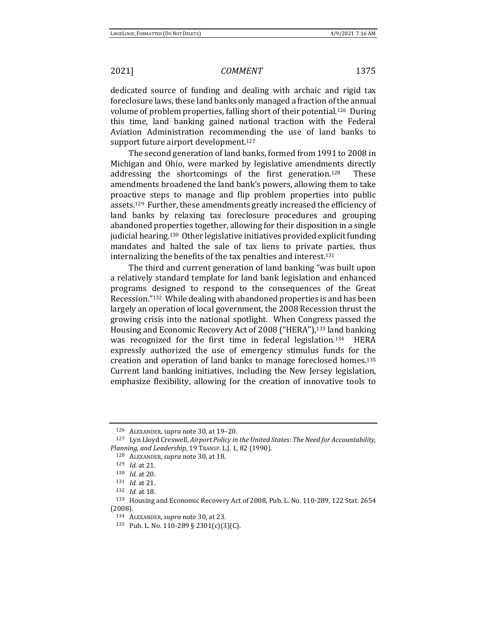dedicated source of funding and dealing with archaic and rigid tax foreclosure laws, these land banks only managed a fraction of the annual volume of problem properties, falling short of their potential.<sup>126</sup>During this time, land banking gained national traction with the Federal Aviation Administration recommending the use of land banks to support future airport development.<sup>127</sup>

The second generation of land banks, formed from 1991 to 2008 in Michigan and Ohio, were marked by legislative amendments directly addressing the shortcomings of the first generation.128 These amendments broadened the land bank's powers, allowing them to take proactive steps to manage and flip problem properties into public assets.129 Further, these amendments greatly increased the efficiency of land banks by relaxing tax foreclosure procedures and grouping abandoned properties together, allowing for their disposition in a single judicial hearing.130 Other legislative initiatives provided explicit funding mandates and halted the sale of tax liens to private parties, thus internalizing the benefits of the tax penalties and interest.<sup>131</sup>

The third and current generation of land banking "was built upon a relatively standard template for land bank legislation and enhanced programs designed to respond to the consequences of the Great Recession."132 While dealing with abandoned properties is and has been largely an operation of local government, the 2008 Recession thrust the growing crisis into the national spotlight. When Congress passed the Housing and Economic Recovery Act of 2008 ("HERA"),<sup>133</sup> land banking was recognized for the first time in federal legislation.134 HERA expressly authorized the use of emergency stimulus funds for the creation and operation of land banks to manage foreclosed homes.<sup>135</sup> Current land banking initiatives, including the New Jersey legislation, emphasize flexibility, allowing for the creation of innovative tools to

<sup>126</sup> ALEXANDER, *supra* not[e 30,](#page-3-1) at 19–20.

<sup>127</sup> Lyn Lloyd Creswell, *Airport Policy in the United States: The Need for Accountability, Planning, and Leadership*, 19 TRANSP. L.J. 1, 82 (1990).

<sup>128</sup> ALEXANDER, *supra* not[e 30,](#page-3-1) at 18.

<sup>129</sup> *Id.* at 21.

<sup>130</sup> *Id.* at 20.

<sup>131</sup> *Id.* at 21.

<sup>132</sup> *Id.* at 18.

<sup>133</sup> Housing and Economic Recovery Act of 2008, Pub. L. No. 110-289, 122 Stat. 2654 (2008).

<sup>134</sup> ALEXANDER, *supra* not[e 30,](#page-3-1) at 23.

<sup>135</sup> Pub. L. No. 110-289 § 2301(c)(3)(C).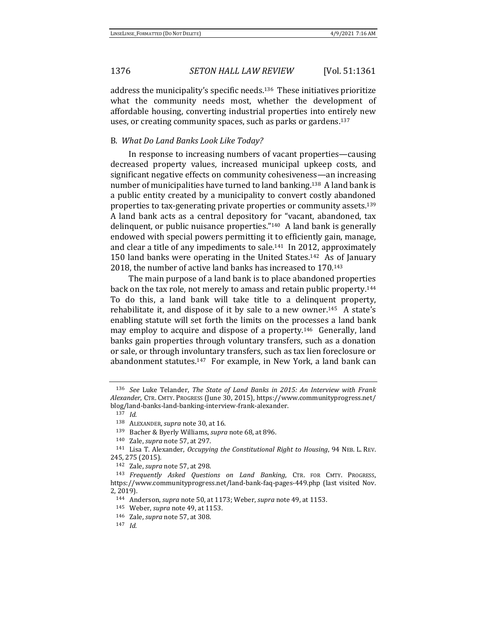address the municipality's specific needs.136 These initiatives prioritize what the community needs most, whether the development of affordable housing, converting industrial properties into entirely new uses, or creating community spaces, such as parks or gardens.<sup>137</sup>

## B. *What Do Land Banks Look Like Today?*

In response to increasing numbers of vacant properties—causing decreased property values, increased municipal upkeep costs, and significant negative effects on community cohesiveness—an increasing number of municipalities have turned to land banking.138 A land bank is a public entity created by a municipality to convert costly abandoned properties to tax-generating private properties or community assets.<sup>139</sup> A land bank acts as a central depository for "vacant, abandoned, tax delinquent, or public nuisance properties."140 A land bank is generally endowed with special powers permitting it to efficiently gain, manage, and clear a title of any impediments to sale.141 In 2012, approximately 150 land banks were operating in the United States.142 As of January 2018, the number of active land banks has increased to 170.<sup>143</sup>

<span id="page-15-0"></span>The main purpose of a land bank is to place abandoned properties back on the tax role, not merely to amass and retain public property.<sup>144</sup> To do this, a land bank will take title to a delinquent property, rehabilitate it, and dispose of it by sale to a new owner.<sup>145</sup> A state's enabling statute will set forth the limits on the processes a land bank may employ to acquire and dispose of a property.146 Generally, land banks gain properties through voluntary transfers, such as a donation or sale, or through involuntary transfers, such as tax lien foreclosure or abandonment statutes.147 For example, in New York, a land bank can

<sup>136</sup> *See* Luke Telander, *The State of Land Banks in 2015: An Interview with Frank Alexander*, CTR. CMTY. PROGRESS (June 30, 2015), https://www.communityprogress.net/ blog/land-banks-land-banking-interview-frank-alexander.

<sup>137</sup> *Id.*

<sup>138</sup> ALEXANDER, *supra* not[e 30,](#page-3-1) at 16.

<sup>139</sup> Bacher & Byerly Williams, *supra* not[e 68,](#page-8-1) at 896.

<sup>140</sup> Zale, *supra* not[e 57,](#page-7-0) at 297.

<sup>141</sup> Lisa T. Alexander, *Occupying the Constitutional Right to Housing*, 94 NEB. L. REV. 245, 275 (2015).

<sup>142</sup> Zale, *supra* not[e 57,](#page-7-0) at 298.

<sup>143</sup> *Frequently Asked Questions on Land Banking*, CTR. FOR CMTY. PROGRESS, https://www.communityprogress.net/land-bank-faq-pages-449.php (last visited Nov. 2, 2019).

<sup>144</sup> Anderson, *supra* note [50,](#page-6-0) at 1173; Weber, *supra* not[e 49,](#page-6-1) at 1153.

<sup>145</sup> Weber, *supra* not[e 49,](#page-6-1) at 1153.

<sup>146</sup> Zale, *supra* not[e 57,](#page-7-0) at 308.

<sup>147</sup> *Id.*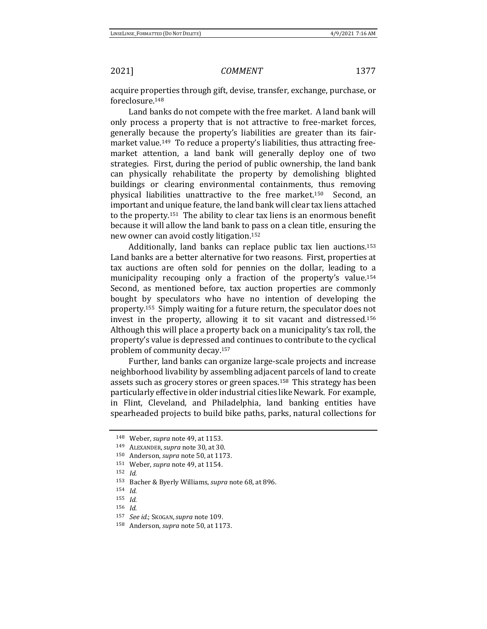<span id="page-16-0"></span>

acquire properties through gift, devise, transfer, exchange, purchase, or foreclosure.<sup>148</sup>

Land banks do not compete with the free market. A land bank will only process a property that is not attractive to free-market forces, generally because the property's liabilities are greater than its fairmarket value.<sup>149</sup> To reduce a property's liabilities, thus attracting freemarket attention, a land bank will generally deploy one of two strategies. First, during the period of public ownership, the land bank can physically rehabilitate the property by demolishing blighted buildings or clearing environmental containments, thus removing physical liabilities unattractive to the free market.150 Second, an important and unique feature, the land bank will clear tax liens attached to the property.151 The ability to clear tax liens is an enormous benefit because it will allow the land bank to pass on a clean title, ensuring the new owner can avoid costly litigation.<sup>152</sup>

Additionally, land banks can replace public tax lien auctions.<sup>153</sup> Land banks are a better alternative for two reasons. First, properties at tax auctions are often sold for pennies on the dollar, leading to a municipality recouping only a fraction of the property's value.<sup>154</sup> Second, as mentioned before, tax auction properties are commonly bought by speculators who have no intention of developing the property.155 Simply waiting for a future return, the speculator does not invest in the property, allowing it to sit vacant and distressed.<sup>156</sup> Although this will place a property back on a municipality's tax roll, the property's value is depressed and continues to contribute to the cyclical problem of community decay.<sup>157</sup>

Further, land banks can organize large-scale projects and increase neighborhood livability by assembling adjacent parcels of land to create assets such as grocery stores or green spaces.158 This strategy has been particularly effective in older industrial cities like Newark. For example, in Flint, Cleveland, and Philadelphia, land banking entities have spearheaded projects to build bike paths, parks, natural collections for

<sup>148</sup> Weber, *supra* not[e 49,](#page-6-1) at 1153.

<sup>149</sup> ALEXANDER,*supra* not[e 30,](#page-3-1) at 30.

<sup>150</sup> Anderson, *supra* note [50,](#page-6-0) at 1173.

<sup>151</sup> Weber, *supra* not[e 49,](#page-6-1) at 1154.

<sup>152</sup> *Id.* 

<sup>153</sup> Bacher & Byerly Williams, *supra* not[e 68,](#page-8-1) at 896.

<sup>154</sup> *Id.* 

<sup>155</sup> *Id.*

<sup>156</sup> *Id.* 

<sup>157</sup> *See id.*; SKOGAN,*supra* not[e 109.](#page-12-0)

<sup>158</sup> Anderson, *supra* note [50,](#page-6-0) at 1173.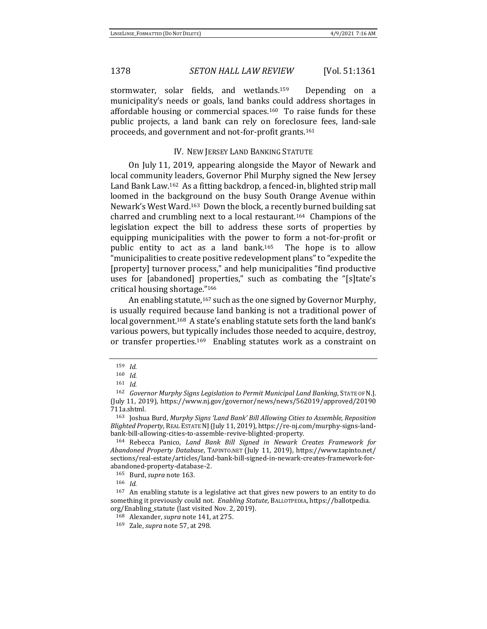stormwater, solar fields, and wetlands.<sup>159</sup> Depending on a municipality's needs or goals, land banks could address shortages in affordable housing or commercial spaces.<sup>160</sup> To raise funds for these public projects, a land bank can rely on foreclosure fees, land-sale proceeds, and government and not-for-profit grants.<sup>161</sup>

### <span id="page-17-1"></span><span id="page-17-0"></span>IV. NEW JERSEY LAND BANKING STATUTE

On July 11, 2019, appearing alongside the Mayor of Newark and local community leaders, Governor Phil Murphy signed the New Jersey Land Bank Law.162 As a fitting backdrop, a fenced-in, blighted strip mall loomed in the background on the busy South Orange Avenue within Newark's West Ward.163 Down the block, a recently burned building sat charred and crumbling next to a local restaurant.164 Champions of the legislation expect the bill to address these sorts of properties by equipping municipalities with the power to form a not-for-profit or public entity to act as a land bank.165 The hope is to allow "municipalities to create positive redevelopment plans" to "expedite the [property] turnover process," and help municipalities "find productive uses for [abandoned] properties," such as combating the "[s]tate's critical housing shortage."<sup>166</sup>

An enabling statute,<sup>167</sup> such as the one signed by Governor Murphy, is usually required because land banking is not a traditional power of local government.168 A state's enabling statute sets forth the land bank's various powers, but typically includes those needed to acquire, destroy, or transfer properties.169 Enabling statutes work as a constraint on

<sup>159</sup> *Id.*

<sup>160</sup> *Id.* 

<sup>161</sup> *Id.*

<sup>162</sup> *Governor Murphy Signs Legislation to Permit Municipal Land Banking*, STATE OF N.J. (July 11, 2019), https://www.nj.gov/governor/news/news/562019/approved/20190 711a.shtml.

<sup>163</sup> Joshua Burd, *Murphy Signs 'Land Bank' Bill Allowing Cities to Assemble, Reposition Blighted Property*, REAL ESTATE NJ(July 11, 2019), https://re-nj.com/murphy-signs-landbank-bill-allowing-cities-to-assemble-revive-blighted-property.

<sup>164</sup> Rebecca Panico, *Land Bank Bill Signed in Newark Creates Framework for Abandoned Property Database*, TAPINTO.NET (July 11, 2019), https://www.tapinto.net/ sections/real-estate/articles/land-bank-bill-signed-in-newark-creates-framework-forabandoned-property-database-2.

<sup>165</sup> Burd, *supra* not[e 163](#page-17-0)*.*

<sup>166</sup> *Id*.

<sup>167</sup> An enabling statute is a legislative act that gives new powers to an entity to do something it previously could not. *Enabling Statute*, BALLOTPEDIA, https://ballotpedia. org/Enabling\_statute (last visited Nov. 2, 2019).

<sup>168</sup> Alexander, *supra* not[e 141,](#page-15-0) at 275.

<sup>169</sup> Zale, *supra* not[e 57,](#page-7-0) at 298.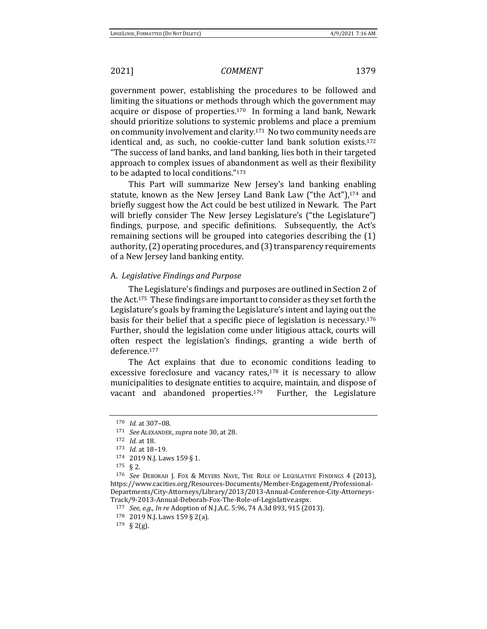government power, establishing the procedures to be followed and limiting the situations or methods through which the government may acquire or dispose of properties.170 In forming a land bank, Newark should prioritize solutions to systemic problems and place a premium on community involvement and clarity.171 No two community needs are identical and, as such, no cookie-cutter land bank solution exists.<sup>172</sup> "The success of land banks, and land banking, lies both in their targeted approach to complex issues of abandonment as well as their flexibility to be adapted to local conditions."<sup>173</sup>

This Part will summarize New Jersey's land banking enabling statute, known as the New Jersey Land Bank Law ("the Act"),<sup>174</sup> and briefly suggest how the Act could be best utilized in Newark. The Part will briefly consider The New Jersey Legislature's ("the Legislature") findings, purpose, and specific definitions. Subsequently, the Act's remaining sections will be grouped into categories describing the (1) authority, (2) operating procedures, and (3) transparency requirements of a New Jersey land banking entity.

## A. *Legislative Findings and Purpose*

The Legislature's findings and purposes are outlined in Section 2 of the Act.175 These findings are important to consider as they set forth the Legislature's goals by framing the Legislature's intent and laying out the basis for their belief that a specific piece of legislation is necessary.<sup>176</sup> Further, should the legislation come under litigious attack, courts will often respect the legislation's findings, granting a wide berth of deference.<sup>177</sup>

The Act explains that due to economic conditions leading to excessive foreclosure and vacancy rates,<sup>178</sup> it is necessary to allow municipalities to designate entities to acquire, maintain, and dispose of vacant and abandoned properties.<sup>179</sup> Further, the Legislature

<sup>170</sup> *Id.* at 307–08.

<sup>171</sup> *See* ALEXANDER, *supra* not[e 30,](#page-3-1) at 28.

<sup>172</sup> *Id.* at 18.

<sup>173</sup> *Id.* at 18–19.

<sup>174</sup> 2019 N.J. Laws 159 § 1.

<sup>175</sup> § 2.

<sup>176</sup> *See* DEBORAH J. FOX & MEYERS NAVE, THE ROLE OF LEGISLATIVE FINDINGS 4 (2013), https://www.cacities.org/Resources-Documents/Member-Engagement/Professional-Departments/City-Attorneys/Library/2013/2013-Annual-Conference-City-Attorneys-Track/9-2013-Annual-Deborah-Fox-The-Role-of-Legislative.aspx.

<sup>177</sup> *See, e.g.*, *In re* Adoption of N.J.A.C. 5:96, 74 A.3d 893, 915 (2013).

<sup>178</sup> 2019 N.J. Laws 159 § 2(a).

<sup>179</sup> § 2(g).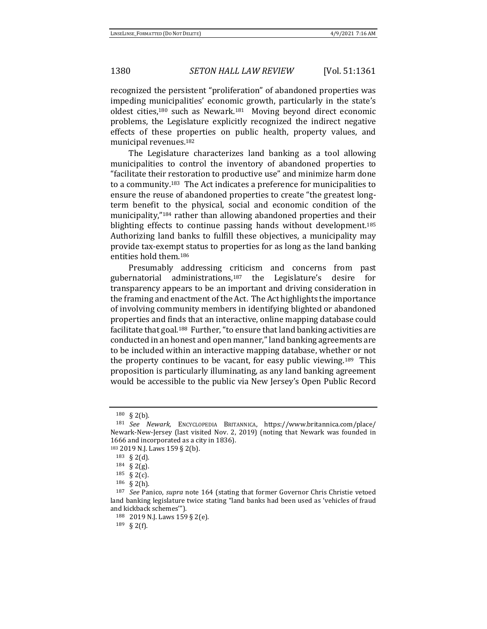recognized the persistent "proliferation" of abandoned properties was impeding municipalities' economic growth, particularly in the state's oldest cities,<sup>180</sup> such as Newark.181 Moving beyond direct economic problems, the Legislature explicitly recognized the indirect negative effects of these properties on public health, property values, and municipal revenues.<sup>182</sup>

The Legislature characterizes land banking as a tool allowing municipalities to control the inventory of abandoned properties to "facilitate their restoration to productive use" and minimize harm done to a community.183 The Act indicates a preference for municipalities to ensure the reuse of abandoned properties to create "the greatest longterm benefit to the physical, social and economic condition of the municipality,"<sup>184</sup> rather than allowing abandoned properties and their blighting effects to continue passing hands without development.<sup>185</sup> Authorizing land banks to fulfill these objectives, a municipality may provide tax-exempt status to properties for as long as the land banking entities hold them.<sup>186</sup>

Presumably addressing criticism and concerns from past gubernatorial administrations,<sup>187</sup> the Legislature's desire for transparency appears to be an important and driving consideration in the framing and enactment of the Act. The Act highlights the importance of involving community members in identifying blighted or abandoned properties and finds that an interactive, online mapping database could facilitate that goal.<sup>188</sup> Further, "to ensure that land banking activities are conducted in an honest and open manner," land banking agreements are to be included within an interactive mapping database, whether or not the property continues to be vacant, for easy public viewing.189 This proposition is particularly illuminating, as any land banking agreement would be accessible to the public via New Jersey's Open Public Record

<sup>180</sup> § 2(b).

<sup>181</sup> *See Newark,* ENCYCLOPEDIA BRITANNICA, https://www.britannica.com/place/ Newark-New-Jersey (last visited Nov. 2, 2019) (noting that Newark was founded in 1666 and incorporated as a city in 1836).

<sup>183</sup> 2019 N.J. Laws 159 § 2(b).

<sup>183</sup> § 2(d).

<sup>184</sup> § 2(g).

<sup>185</sup> § 2(c).

<sup>186</sup> § 2(h).

<sup>187</sup> *See* Panico, *supra* note [164](#page-17-1) (stating that former Governor Chris Christie vetoed land banking legislature twice stating "land banks had been used as 'vehicles of fraud and kickback schemes'").

<sup>188</sup> 2019 N.J. Laws 159 § 2(e).

<sup>189</sup> § 2(f).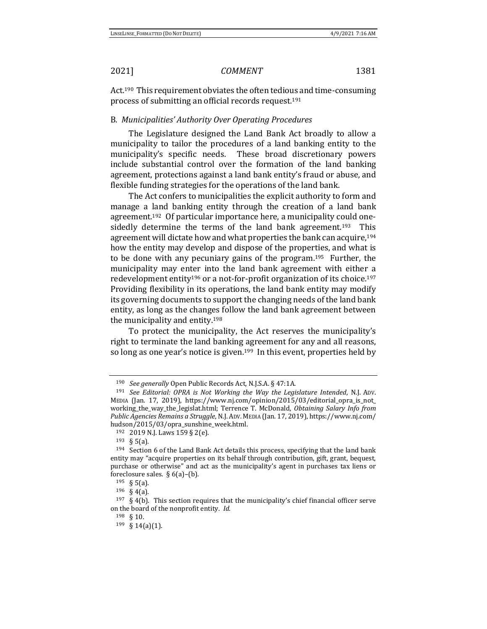Act.190 This requirement obviates the often tedious and time-consuming process of submitting an official records request.<sup>191</sup>

## B. *Municipalities' Authority Over Operating Procedures*

The Legislature designed the Land Bank Act broadly to allow a municipality to tailor the procedures of a land banking entity to the municipality's specific needs. These broad discretionary powers include substantial control over the formation of the land banking agreement, protections against a land bank entity's fraud or abuse, and flexible funding strategies for the operations of the land bank.

The Act confers to municipalities the explicit authority to form and manage a land banking entity through the creation of a land bank agreement.192 Of particular importance here, a municipality could onesidedly determine the terms of the land bank agreement.<sup>193</sup> This agreement will dictate how and what properties the bank can acquire,<sup>194</sup> how the entity may develop and dispose of the properties, and what is to be done with any pecuniary gains of the program.195 Further, the municipality may enter into the land bank agreement with either a redevelopment entity<sup>196</sup> or a not-for-profit organization of its choice.<sup>197</sup> Providing flexibility in its operations, the land bank entity may modify its governing documents to support the changing needs of the land bank entity, as long as the changes follow the land bank agreement between the municipality and entity.<sup>198</sup>

To protect the municipality, the Act reserves the municipality's right to terminate the land banking agreement for any and all reasons, so long as one year's notice is given.<sup>199</sup> In this event, properties held by

<sup>190</sup> *See generally* Open Public Records Act, N.J.S.A. § 47:1A.

<sup>191</sup> *See Editorial: OPRA is Not Working the Way the Legislature Intended*, N.J. ADV. MEDIA (Jan. 17, 2019), https://www.nj.com/opinion/2015/03/editorial\_opra\_is\_not\_ working\_the\_way\_the\_legislat.html; Terrence T. McDonald, *Obtaining Salary Info from Public Agencies Remains a Struggle*, N.J.ADV. MEDIA (Jan. 17, 2019), https://www.nj.com/ hudson/2015/03/opra\_sunshine\_week.html.

<sup>192</sup> 2019 N.J. Laws 159 § 2(e).

<sup>193</sup> § 5(a).

<sup>&</sup>lt;sup>194</sup> Section 6 of the Land Bank Act details this process, specifying that the land bank entity may "acquire properties on its behalf through contribution, gift, grant, bequest, purchase or otherwise" and act as the municipality's agent in purchases tax liens or foreclosure sales.  $§$  6(a)–(b).

<sup>195</sup> § 5(a).

<sup>196</sup> § 4(a).

 $197 \text{ }$  § 4(b). This section requires that the municipality's chief financial officer serve on the board of the nonprofit entity. *Id.* 

<sup>198</sup> § 10.

<sup>199</sup> § 14(a)(1).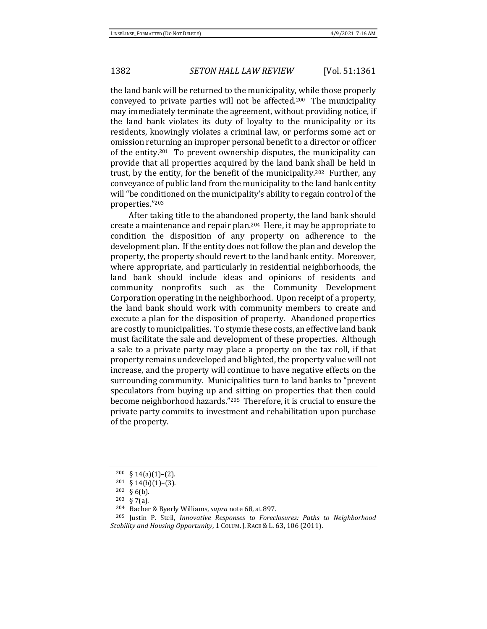the land bank will be returned to the municipality, while those properly conveyed to private parties will not be affected.200 The municipality may immediately terminate the agreement, without providing notice, if the land bank violates its duty of loyalty to the municipality or its residents, knowingly violates a criminal law, or performs some act or omission returning an improper personal benefit to a director or officer of the entity.201 To prevent ownership disputes, the municipality can provide that all properties acquired by the land bank shall be held in trust, by the entity, for the benefit of the municipality.202 Further, any conveyance of public land from the municipality to the land bank entity will "be conditioned on the municipality's ability to regain control of the properties."<sup>203</sup>

After taking title to the abandoned property, the land bank should create a maintenance and repair plan.204 Here, it may be appropriate to condition the disposition of any property on adherence to the development plan. If the entity does not follow the plan and develop the property, the property should revert to the land bank entity. Moreover, where appropriate, and particularly in residential neighborhoods, the land bank should include ideas and opinions of residents and community nonprofits such as the Community Development Corporation operating in the neighborhood. Upon receipt of a property, the land bank should work with community members to create and execute a plan for the disposition of property. Abandoned properties are costly to municipalities. To stymie these costs, an effective land bank must facilitate the sale and development of these properties. Although a sale to a private party may place a property on the tax roll, if that property remains undeveloped and blighted, the property value will not increase, and the property will continue to have negative effects on the surrounding community. Municipalities turn to land banks to "prevent speculators from buying up and sitting on properties that then could become neighborhood hazards."205 Therefore, it is crucial to ensure the private party commits to investment and rehabilitation upon purchase of the property.

<span id="page-21-0"></span><sup>200</sup> § 14(a)(1)–(2).

 $201 \S 14(b)(1)-(3)$ .

<sup>202</sup> § 6(b).

<sup>203</sup> § 7(a).

<sup>204</sup> Bacher & Byerly Williams, *supra* not[e 68,](#page-8-1) at 897.

<sup>205</sup> Justin P. Steil, *Innovative Responses to Foreclosures: Paths to Neighborhood Stability and Housing Opportunity*, 1 COLUM. J. RACE & L. 63, 106 (2011).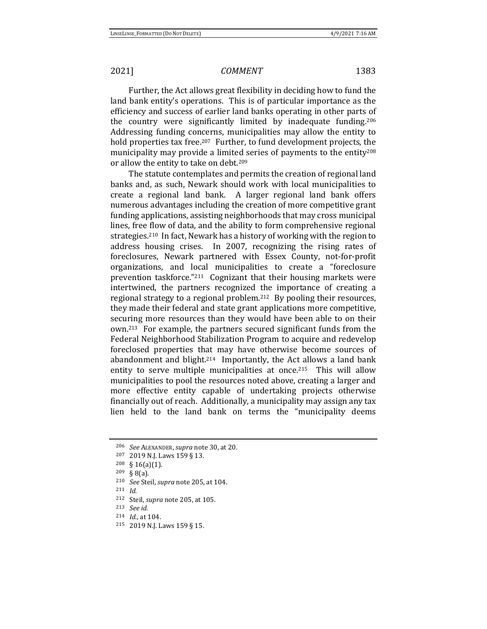Further, the Act allows great flexibility in deciding how to fund the land bank entity's operations. This is of particular importance as the efficiency and success of earlier land banks operating in other parts of the country were significantly limited by inadequate funding.<sup>206</sup> Addressing funding concerns, municipalities may allow the entity to hold properties tax free.<sup>207</sup> Further, to fund development projects, the municipality may provide a limited series of payments to the entity<sup>208</sup> or allow the entity to take on debt.<sup>209</sup>

The statute contemplates and permits the creation of regional land banks and, as such, Newark should work with local municipalities to create a regional land bank. A larger regional land bank offers numerous advantages including the creation of more competitive grant funding applications, assisting neighborhoods that may cross municipal lines, free flow of data, and the ability to form comprehensive regional strategies.210 In fact, Newark has a history of working with the region to address housing crises. In 2007, recognizing the rising rates of foreclosures, Newark partnered with Essex County, not-for-profit organizations, and local municipalities to create a "foreclosure prevention taskforce."211 Cognizant that their housing markets were intertwined, the partners recognized the importance of creating a regional strategy to a regional problem.212 By pooling their resources, they made their federal and state grant applications more competitive, securing more resources than they would have been able to on their own.213 For example, the partners secured significant funds from the Federal Neighborhood Stabilization Program to acquire and redevelop foreclosed properties that may have otherwise become sources of abandonment and blight.<sup>214</sup> Importantly, the Act allows a land bank entity to serve multiple municipalities at once.<sup>215</sup> This will allow municipalities to pool the resources noted above, creating a larger and more effective entity capable of undertaking projects otherwise financially out of reach. Additionally, a municipality may assign any tax lien held to the land bank on terms the "municipality deems

<sup>206</sup> *See* ALEXANDER, *supra* not[e 30,](#page-3-1) at 20.

<sup>207</sup> 2019 N.J. Laws 159 § 13.

<sup>208</sup> § 16(a)(1).

<sup>209</sup> § 8(a).

<sup>210</sup> *See* Steil, *supra* note [205,](#page-21-0) at 104.

<sup>211</sup> *Id*.

<sup>212</sup> Steil, *supra* not[e 205,](#page-21-0) at 105.

<sup>213</sup> *See id.*

<sup>214</sup> *Id.*, at 104.

<sup>215</sup> 2019 N.J. Laws 159 § 15.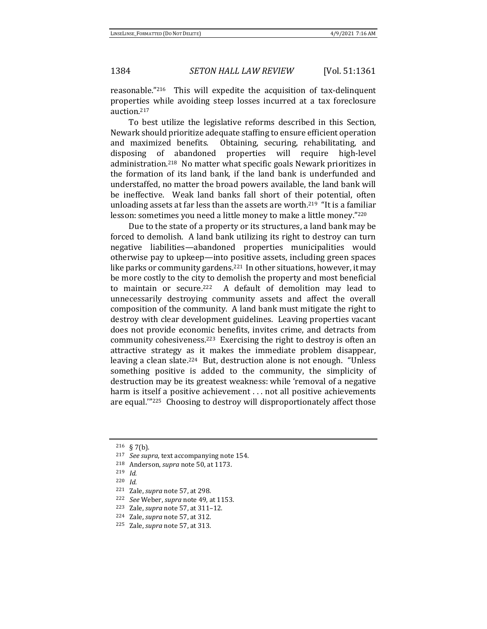reasonable."216 This will expedite the acquisition of tax-delinquent properties while avoiding steep losses incurred at a tax foreclosure auction.<sup>217</sup>

To best utilize the legislative reforms described in this Section, Newark should prioritize adequate staffing to ensure efficient operation and maximized benefits. Obtaining, securing, rehabilitating, and disposing of abandoned properties will require high-level administration.218 No matter what specific goals Newark prioritizes in the formation of its land bank, if the land bank is underfunded and understaffed, no matter the broad powers available, the land bank will be ineffective. Weak land banks fall short of their potential, often unloading assets at far less than the assets are worth.<sup>219</sup> "It is a familiar lesson: sometimes you need a little money to make a little money."<sup>220</sup>

Due to the state of a property or its structures, a land bank may be forced to demolish. A land bank utilizing its right to destroy can turn negative liabilities—abandoned properties municipalities would otherwise pay to upkeep—into positive assets, including green spaces like parks or community gardens.<sup>221</sup> In other situations, however, it may be more costly to the city to demolish the property and most beneficial to maintain or secure.<sup>222</sup> A default of demolition may lead to unnecessarily destroying community assets and affect the overall composition of the community. A land bank must mitigate the right to destroy with clear development guidelines. Leaving properties vacant does not provide economic benefits, invites crime, and detracts from community cohesiveness.223 Exercising the right to destroy is often an attractive strategy as it makes the immediate problem disappear, leaving a clean slate.<sup>224</sup> But, destruction alone is not enough. "Unless something positive is added to the community, the simplicity of destruction may be its greatest weakness: while 'removal of a negative harm is itself a positive achievement ... not all positive achievements are equal.'"225 Choosing to destroy will disproportionately affect those

<sup>216</sup> § 7(b).

<sup>217</sup> *See supra*, text accompanying not[e 154.](#page-16-0)

<sup>218</sup> Anderson, *supra* note [50,](#page-6-0) at 1173.

<sup>219</sup> *Id.*

<sup>220</sup> *Id.*

<sup>221</sup> Zale, *supra* not[e 57,](#page-7-0) at 298.

<sup>222</sup> *See* Weber, *supra* not[e 49,](#page-6-1) at 1153.

<sup>223</sup> Zale, *supra* not[e 57,](#page-7-0) at 311–12.

<sup>224</sup> Zale, *supra* not[e 57,](#page-7-0) at 312.

<sup>225</sup> Zale, *supra* not[e 57,](#page-7-0) at 313.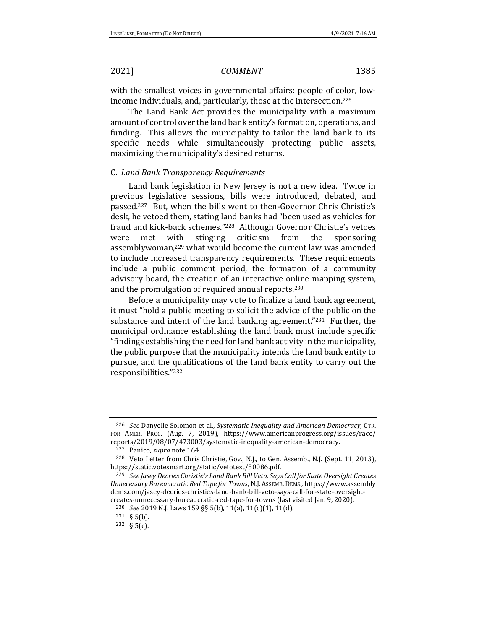with the smallest voices in governmental affairs: people of color, lowincome individuals, and, particularly, those at the intersection.<sup>226</sup>

The Land Bank Act provides the municipality with a maximum amount of control over the land bank entity's formation, operations, and funding. This allows the municipality to tailor the land bank to its specific needs while simultaneously protecting public assets, maximizing the municipality's desired returns.

## C. *Land Bank Transparency Requirements*

Land bank legislation in New Jersey is not a new idea. Twice in previous legislative sessions, bills were introduced, debated, and passed.227 But, when the bills went to then-Governor Chris Christie's desk, he vetoed them, stating land banks had "been used as vehicles for fraud and kick-back schemes."<sup>228</sup> Although Governor Christie's vetoes were met with stinging criticism from the sponsoring assemblywoman,<sup>229</sup> what would become the current law was amended to include increased transparency requirements. These requirements include a public comment period, the formation of a community advisory board, the creation of an interactive online mapping system, and the promulgation of required annual reports.<sup>230</sup>

Before a municipality may vote to finalize a land bank agreement, it must "hold a public meeting to solicit the advice of the public on the substance and intent of the land banking agreement."231 Further, the municipal ordinance establishing the land bank must include specific "findings establishing the need for land bank activity in the municipality, the public purpose that the municipality intends the land bank entity to pursue, and the qualifications of the land bank entity to carry out the responsibilities."<sup>232</sup>

<sup>226</sup> *See* Danyelle Solomon et al., *Systematic Inequality and American Democracy*, CTR. FOR AMER. PROG. (Aug. 7, 2019), https://www.americanprogress.org/issues/race/ reports/2019/08/07/473003/systematic-inequality-american-democracy.

<sup>227</sup> Panico, *supra* not[e 164.](#page-17-1)

<sup>228</sup> Veto Letter from Chris Christie, Gov., N.J., to Gen. Assemb., N.J. (Sept. 11, 2013), https://static.votesmart.org/static/vetotext/50086.pdf.

<sup>229</sup> *See Jasey Decries Christie's Land Bank Bill Veto, Says Call for State Oversight Creates Unnecessary Bureaucratic Red Tape for Towns*, N.J.ASSEMB.DEMS., https://www.assembly dems.com/jasey-decries-christies-land-bank-bill-veto-says-call-for-state-oversightcreates-unnecessary-bureaucratic-red-tape-for-towns (last visited Jan. 9, 2020).

<sup>230</sup> *See* 2019 N.J. Laws 159 §§ 5(b), 11(a), 11(c)(1), 11(d).

<sup>231</sup> § 5(b).

<sup>232</sup> § 5(c).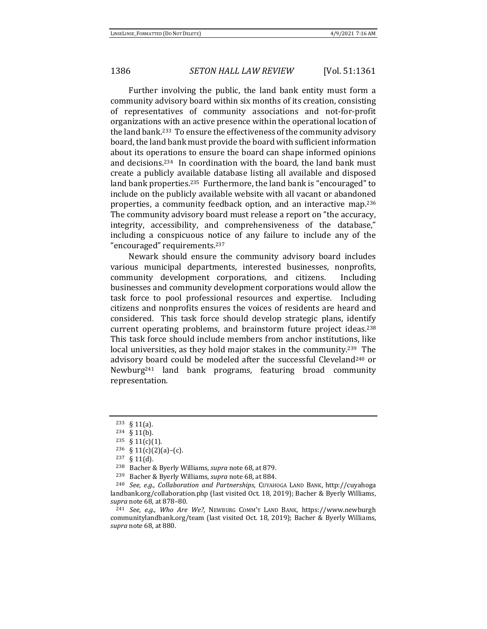Further involving the public, the land bank entity must form a community advisory board within six months of its creation, consisting of representatives of community associations and not-for-profit organizations with an active presence within the operational location of the land bank.233 To ensure the effectiveness of the community advisory board, the land bank must provide the board with sufficient information about its operations to ensure the board can shape informed opinions and decisions.234 In coordination with the board, the land bank must create a publicly available database listing all available and disposed land bank properties.<sup>235</sup> Furthermore, the land bank is "encouraged" to include on the publicly available website with all vacant or abandoned properties, a community feedback option, and an interactive map.<sup>236</sup> The community advisory board must release a report on "the accuracy, integrity, accessibility, and comprehensiveness of the database," including a conspicuous notice of any failure to include any of the "encouraged" requirements.<sup>237</sup>

Newark should ensure the community advisory board includes various municipal departments, interested businesses, nonprofits, community development corporations, and citizens. Including businesses and community development corporations would allow the task force to pool professional resources and expertise. Including citizens and nonprofits ensures the voices of residents are heard and considered. This task force should develop strategic plans, identify current operating problems, and brainstorm future project ideas.<sup>238</sup> This task force should include members from anchor institutions, like local universities, as they hold major stakes in the community.<sup>239</sup> The advisory board could be modeled after the successful Cleveland<sup>240</sup> or Newburg<sup>241</sup> land bank programs, featuring broad community representation.

<sup>233</sup> § 11(a).

<sup>234</sup> § 11(b).

 $235 \S 11(c)(1)$ .

 $236 \quad \text{§ } 11(c)(2)(a)-(c).$ 

<sup>237</sup> § 11(d).

<sup>238</sup> Bacher & Byerly Williams, *supra* not[e 68,](#page-8-1) at 879.

<sup>239</sup> Bacher & Byerly Williams, *supra* not[e 68,](#page-8-1) at 884.

<sup>240</sup> *See, e.g.*, *Collaboration and Partnerships*, CUYAHOGA LAND BANK, http://cuyahoga landbank.org/collaboration.php (last visited Oct. 18, 2019); Bacher & Byerly Williams, *supra* not[e 68,](#page-8-1) at 878–80.

<sup>241</sup> *See, e.g.*, *Who Are We?*, NEWBURG COMM'Y LAND BANK, https://www.newburgh communitylandbank.org/team (last visited Oct. 18, 2019); Bacher & Byerly Williams, *supra* not[e 68,](#page-8-1) at 880.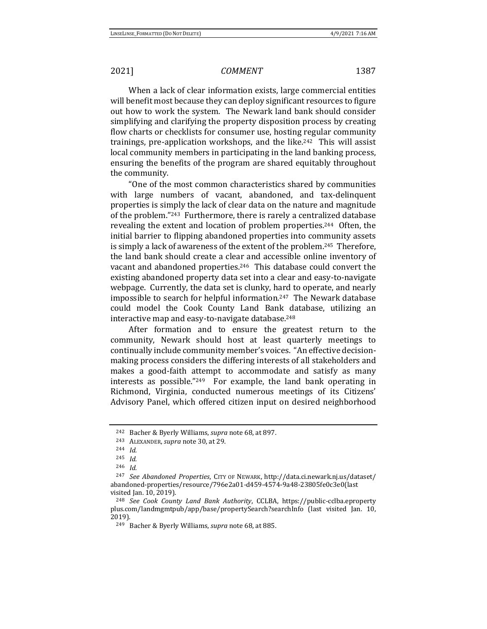When a lack of clear information exists, large commercial entities will benefit most because they can deploy significant resources to figure out how to work the system. The Newark land bank should consider simplifying and clarifying the property disposition process by creating flow charts or checklists for consumer use, hosting regular community trainings, pre-application workshops, and the like.242 This will assist local community members in participating in the land banking process, ensuring the benefits of the program are shared equitably throughout the community.

"One of the most common characteristics shared by communities with large numbers of vacant, abandoned, and tax-delinquent properties is simply the lack of clear data on the nature and magnitude of the problem."243 Furthermore, there is rarely a centralized database revealing the extent and location of problem properties.<sup>244</sup> Often, the initial barrier to flipping abandoned properties into community assets is simply a lack of awareness of the extent of the problem.245 Therefore, the land bank should create a clear and accessible online inventory of vacant and abandoned properties.246 This database could convert the existing abandoned property data set into a clear and easy-to-navigate webpage. Currently, the data set is clunky, hard to operate, and nearly impossible to search for helpful information.247 The Newark database could model the Cook County Land Bank database, utilizing an interactive map and easy-to-navigate database.<sup>248</sup>

After formation and to ensure the greatest return to the community, Newark should host at least quarterly meetings to continually include community member's voices. "An effective decisionmaking process considers the differing interests of all stakeholders and makes a good-faith attempt to accommodate and satisfy as many interests as possible."249 For example, the land bank operating in Richmond, Virginia, conducted numerous meetings of its Citizens' Advisory Panel, which offered citizen input on desired neighborhood

<sup>242</sup> Bacher & Byerly Williams, *supra* not[e 68,](#page-8-1) at 897.

<sup>243</sup> ALEXANDER, *supra* not[e 30,](#page-3-1) at 29.

<sup>244</sup> *Id.* 

<sup>245</sup> *Id.*

<sup>246</sup> *Id.*

<sup>247</sup> *See Abandoned Properties*, CITY OF NEWARK, http://data.ci.newark.nj.us/dataset/ abandoned-properties/resource/796e2a01-d459-4574-9a48-23805fe0c3e0(last visited Jan. 10, 2019).

<sup>248</sup> *See Cook County Land Bank Authority*, CCLBA, https://public-cclba.eproperty plus.com/landmgmtpub/app/base/propertySearch?searchInfo (last visited Jan. 10, 2019).

<sup>249</sup> Bacher & Byerly Williams, *supra* not[e 68,](#page-8-1) at 885.